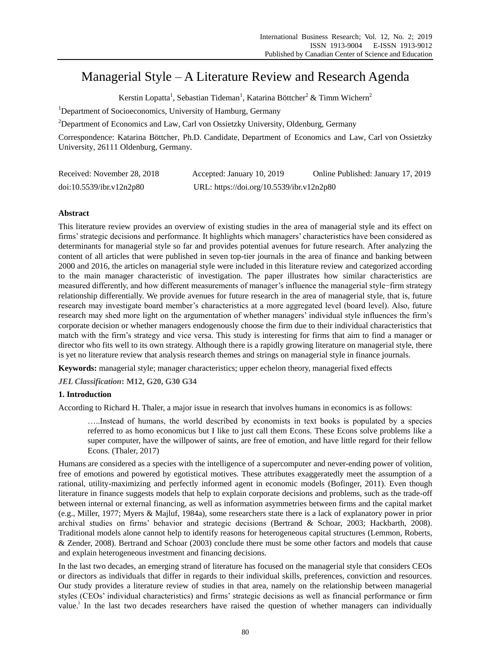# Managerial Style – A Literature Review and Research Agenda

Kerstin Lopatta<sup>1</sup>, Sebastian Tideman<sup>1</sup>, Katarina Böttcher<sup>2</sup> & Timm Wichern<sup>2</sup>

<sup>1</sup>Department of Socioeconomics, University of Hamburg, Germany

<sup>2</sup>Department of Economics and Law, Carl von Ossietzky University, Oldenburg, Germany

Correspondence: Katarina Böttcher, Ph.D. Candidate, Department of Economics and Law, Carl von Ossietzky University, 26111 Oldenburg, Germany.

| Received: November 28, 2018 | Accepted: January 10, 2019                | Online Published: January 17, 2019 |
|-----------------------------|-------------------------------------------|------------------------------------|
| doi:10.5539/ibr.v12n2p80    | URL: https://doi.org/10.5539/ibr.v12n2p80 |                                    |

## **Abstract**

This literature review provides an overview of existing studies in the area of managerial style and its effect on firms' strategic decisions and performance. It highlights which managers' characteristics have been considered as determinants for managerial style so far and provides potential avenues for future research. After analyzing the content of all articles that were published in seven top-tier journals in the area of finance and banking between 2000 and 2016, the articles on managerial style were included in this literature review and categorized according to the main manager characteristic of investigation. The paper illustrates how similar characteristics are measured differently, and how different measurements of manager's influence the managerial style−firm strategy relationship differentially. We provide avenues for future research in the area of managerial style, that is, future research may investigate board member's characteristics at a more aggregated level (board level). Also, future research may shed more light on the argumentation of whether managers' individual style influences the firm's corporate decision or whether managers endogenously choose the firm due to their individual characteristics that match with the firm's strategy and vice versa. This study is interesting for firms that aim to find a manager or director who fits well to its own strategy. Although there is a rapidly growing literature on managerial style, there is yet no literature review that analysis research themes and strings on managerial style in finance journals.

**Keywords:** managerial style; manager characteristics; upper echelon theory, managerial fixed effects

*JEL Classification***: M12, G20, G30 G34**

# **1. Introduction**

According to Richard H. Thaler, a major issue in research that involves humans in economics is as follows:

…..Instead of humans, the world described by economists in text books is populated by a species referred to as homo economicus but I like to just call them Econs. These Econs solve problems like a super computer, have the willpower of saints, are free of emotion, and have little regard for their fellow Econs. (Thaler, 2017)

Humans are considered as a species with the intelligence of a supercomputer and never-ending power of volition, free of emotions and powered by egotistical motives. These attributes exaggeratedly meet the assumption of a rational, utility-maximizing and perfectly informed agent in economic models (Bofinger, 2011). Even though literature in finance suggests models that help to explain corporate decisions and problems, such as the trade-off between internal or external financing, as well as information asymmetries between firms and the capital market (e.g., Miller, 1977; Myers & Majluf, 1984a), some researchers state there is a lack of explanatory power in prior archival studies on firms' behavior and strategic decisions (Bertrand & Schoar, 2003; Hackbarth, 2008). Traditional models alone cannot help to identify reasons for heterogeneous capital structures (Lemmon, Roberts, & Zender, 2008). Bertrand and Schoar (2003) conclude there must be some other factors and models that cause and explain heterogeneous investment and financing decisions.

In the last two decades, an emerging strand of literature has focused on the managerial style that considers CEOs or directors as individuals that differ in regards to their individual skills, preferences, conviction and resources. Our study provides a literature review of studies in that area, namely on the relationship between managerial styles (CEOs' individual characteristics) and firms' strategic decisions as well as financial performance or firm value.<sup>i</sup> In the last two decades researchers have raised the question of whether managers can individually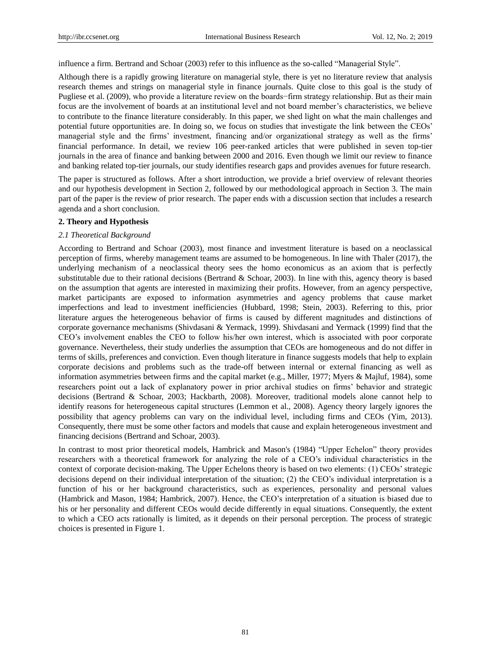influence a firm. Bertrand and Schoar (2003) refer to this influence as the so-called "Managerial Style".

Although there is a rapidly growing literature on managerial style, there is yet no literature review that analysis research themes and strings on managerial style in finance journals. Quite close to this goal is the study of Pugliese et al. (2009), who provide a literature review on the boards−firm strategy relationship. But as their main focus are the involvement of boards at an institutional level and not board member's characteristics, we believe to contribute to the finance literature considerably. In this paper, we shed light on what the main challenges and potential future opportunities are. In doing so, we focus on studies that investigate the link between the CEOs' managerial style and the firms' investment, financing and/or organizational strategy as well as the firms' financial performance. In detail, we review 106 peer-ranked articles that were published in seven top-tier journals in the area of finance and banking between 2000 and 2016. Even though we limit our review to finance and banking related top-tier journals, our study identifies research gaps and provides avenues for future research.

The paper is structured as follows. After a short introduction, we provide a brief overview of relevant theories and our hypothesis development in Section 2, followed by our methodological approach in Section 3. The main part of the paper is the review of prior research. The paper ends with a discussion section that includes a research agenda and a short conclusion.

## **2. Theory and Hypothesis**

#### *2.1 Theoretical Background*

According to Bertrand and Schoar (2003), most finance and investment literature is based on a neoclassical perception of firms, whereby management teams are assumed to be homogeneous. In line with Thaler (2017), the underlying mechanism of a neoclassical theory sees the homo economicus as an axiom that is perfectly substitutable due to their rational decisions (Bertrand & Schoar, 2003). In line with this, agency theory is based on the assumption that agents are interested in maximizing their profits. However, from an agency perspective, market participants are exposed to information asymmetries and agency problems that cause market imperfections and lead to investment inefficiencies (Hubbard, 1998; Stein, 2003). Referring to this, prior literature argues the heterogeneous behavior of firms is caused by different magnitudes and distinctions of corporate governance mechanisms (Shivdasani & Yermack, 1999). Shivdasani and Yermack (1999) find that the CEO's involvement enables the CEO to follow his/her own interest, which is associated with poor corporate governance. Nevertheless, their study underlies the assumption that CEOs are homogeneous and do not differ in terms of skills, preferences and conviction. Even though literature in finance suggests models that help to explain corporate decisions and problems such as the trade-off between internal or external financing as well as information asymmetries between firms and the capital market (e.g., Miller, 1977; Myers & Majluf, 1984), some researchers point out a lack of explanatory power in prior archival studies on firms' behavior and strategic decisions (Bertrand & Schoar, 2003; Hackbarth, 2008). Moreover, traditional models alone cannot help to identify reasons for heterogeneous capital structures (Lemmon et al., 2008). Agency theory largely ignores the possibility that agency problems can vary on the individual level, including firms and CEOs (Yim, 2013). Consequently, there must be some other factors and models that cause and explain heterogeneous investment and financing decisions (Bertrand and Schoar, 2003).

In contrast to most prior theoretical models, Hambrick and Mason's (1984) "Upper Echelon" theory provides researchers with a theoretical framework for analyzing the role of a CEO's individual characteristics in the context of corporate decision-making. The Upper Echelons theory is based on two elements: (1) CEOs' strategic decisions depend on their individual interpretation of the situation; (2) the CEO's individual interpretation is a function of his or her background characteristics, such as experiences, personality and personal values (Hambrick and Mason, 1984; Hambrick, 2007). Hence, the CEO's interpretation of a situation is biased due to his or her personality and different CEOs would decide differently in equal situations. Consequently, the extent to which a CEO acts rationally is limited, as it depends on their personal perception. The process of strategic choices is presented in Figure 1.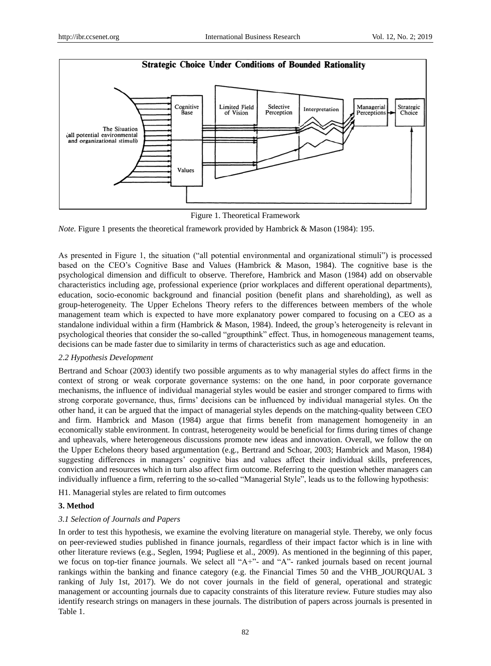



*Note.* Figure 1 presents the theoretical framework provided by Hambrick & Mason (1984): 195.

As presented in Figure 1, the situation ("all potential environmental and organizational stimuli") is processed based on the CEO's Cognitive Base and Values (Hambrick & Mason, 1984). The cognitive base is the psychological dimension and difficult to observe. Therefore, Hambrick and Mason (1984) add on observable characteristics including age, professional experience (prior workplaces and different operational departments), education, socio-economic background and financial position (benefit plans and shareholding), as well as group-heterogeneity. The Upper Echelons Theory refers to the differences between members of the whole management team which is expected to have more explanatory power compared to focusing on a CEO as a standalone individual within a firm (Hambrick & Mason, 1984). Indeed, the group's heterogeneity is relevant in psychological theories that consider the so-called "groupthink" effect. Thus, in homogeneous management teams, decisions can be made faster due to similarity in terms of characteristics such as age and education.

## *2.2 Hypothesis Development*

Bertrand and Schoar (2003) identify two possible arguments as to why managerial styles do affect firms in the context of strong or weak corporate governance systems: on the one hand, in poor corporate governance mechanisms, the influence of individual managerial styles would be easier and stronger compared to firms with strong corporate governance, thus, firms' decisions can be influenced by individual managerial styles. On the other hand, it can be argued that the impact of managerial styles depends on the matching-quality between CEO and firm. Hambrick and Mason (1984) argue that firms benefit from management homogeneity in an economically stable environment. In contrast, heterogeneity would be beneficial for firms during times of change and upheavals, where heterogeneous discussions promote new ideas and innovation. Overall, we follow the on the Upper Echelons theory based argumentation (e.g., Bertrand and Schoar, 2003; Hambrick and Mason, 1984) suggesting differences in managers' cognitive bias and values affect their individual skills, preferences, conviction and resources which in turn also affect firm outcome. Referring to the question whether managers can individually influence a firm, referring to the so-called "Managerial Style", leads us to the following hypothesis:

H1. Managerial styles are related to firm outcomes

## **3. Method**

## *3.1 Selection of Journals and Papers*

In order to test this hypothesis, we examine the evolving literature on managerial style. Thereby, we only focus on peer-reviewed studies published in finance journals, regardless of their impact factor which is in line with other literature reviews (e.g., Seglen, 1994; Pugliese et al., 2009). As mentioned in the beginning of this paper, we focus on top-tier finance journals. We select all "A+"- and "A"- ranked journals based on recent journal rankings within the banking and finance category (e.g. the Financial Times 50 and the VHB\_JOURQUAL 3 ranking of July 1st, 2017). We do not cover journals in the field of general, operational and strategic management or accounting journals due to capacity constraints of this literature review. Future studies may also identify research strings on managers in these journals. The distribution of papers across journals is presented in Table 1.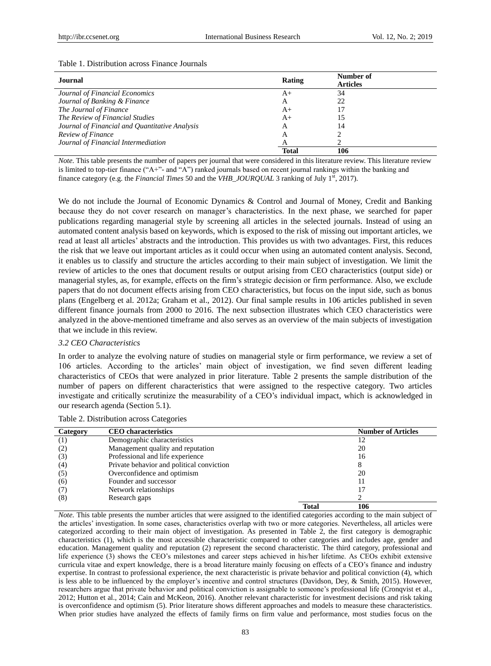#### Table 1. Distribution across Finance Journals

| Journal                                        | Rating       | Number of<br><b>Articles</b> |
|------------------------------------------------|--------------|------------------------------|
| Journal of Financial Economics                 | $A+$         | 34                           |
| Journal of Banking & Finance                   | А            | 22                           |
| The Journal of Finance                         | $A+$         | 17                           |
| The Review of Financial Studies                | $A+$         | 15                           |
| Journal of Financial and Quantitative Analysis | A            | 14                           |
| Review of Finance                              | A            |                              |
| Journal of Financial Intermediation            |              |                              |
|                                                | <b>Total</b> | 106                          |

*Note.* This table presents the number of papers per journal that were considered in this literature review. This literature review is limited to top-tier finance ("A+"- and "A") ranked journals based on recent journal rankings within the banking and finance category (e.g. the *Financial Times* 50 and the *VHB\_JOURQUAL* 3 ranking of July 1<sup>st</sup>, 2017).

We do not include the Journal of Economic Dynamics & Control and Journal of Money, Credit and Banking because they do not cover research on manager's characteristics. In the next phase, we searched for paper publications regarding managerial style by screening all articles in the selected journals. Instead of using an automated content analysis based on keywords, which is exposed to the risk of missing out important articles, we read at least all articles' abstracts and the introduction. This provides us with two advantages. First, this reduces the risk that we leave out important articles as it could occur when using an automated content analysis. Second, it enables us to classify and structure the articles according to their main subject of investigation. We limit the review of articles to the ones that document results or output arising from CEO characteristics (output side) or managerial styles, as, for example, effects on the firm's strategic decision or firm performance. Also, we exclude papers that do not document effects arising from CEO characteristics, but focus on the input side, such as bonus plans (Engelberg et al. 2012a; Graham et al., 2012). Our final sample results in 106 articles published in seven different finance journals from 2000 to 2016. The next subsection illustrates which CEO characteristics were analyzed in the above-mentioned timeframe and also serves as an overview of the main subjects of investigation that we include in this review.

#### *3.2 CEO Characteristics*

In order to analyze the evolving nature of studies on managerial style or firm performance, we review a set of 106 articles. According to the articles' main object of investigation, we find seven different leading characteristics of CEOs that were analyzed in prior literature. Table 2 presents the sample distribution of the number of papers on different characteristics that were assigned to the respective category. Two articles investigate and critically scrutinize the measurability of a CEO's individual impact, which is acknowledged in our research agenda (Section 5.1).

| Category         | <b>CEO</b> characteristics                |              | <b>Number of Articles</b> |
|------------------|-------------------------------------------|--------------|---------------------------|
| $\left(1\right)$ | Demographic characteristics               |              | 12                        |
| (2)              | Management quality and reputation         |              | 20                        |
| (3)              | Professional and life experience          |              | 16                        |
| (4)              | Private behavior and political conviction |              | 8                         |
| (5)              | Overconfidence and optimism               |              | 20                        |
| (6)              | Founder and successor                     |              | 11                        |
| (7)              | Network relationships                     |              | 17                        |
| (8)              | Research gaps                             |              |                           |
|                  |                                           | <b>Total</b> | 106                       |

Table 2. Distribution across Categories

*Note*. This table presents the number articles that were assigned to the identified categories according to the main subject of the articles' investigation. In some cases, characteristics overlap with two or more categories. Nevertheless, all articles were categorized according to their main object of investigation. As presented in Table 2, the first category is demographic characteristics (1), which is the most accessible characteristic compared to other categories and includes age, gender and education. Management quality and reputation (2) represent the second characteristic. The third category, professional and life experience (3) shows the CEO's milestones and career steps achieved in his/her lifetime. As CEOs exhibit extensive curricula vitae and expert knowledge, there is a broad literature mainly focusing on effects of a CEO's finance and industry expertise. In contrast to professional experience, the next characteristic is private behavior and political conviction (4), which is less able to be influenced by the employer's incentive and control structures (Davidson, Dey, & Smith, 2015). However, researchers argue that private behavior and political conviction is assignable to someone's professional life (Cronqvist et al., 2012; Hutton et al., 2014; Cain and McKeon, 2016). Another relevant characteristic for investment decisions and risk taking is overconfidence and optimism (5). Prior literature shows different approaches and models to measure these characteristics. When prior studies have analyzed the effects of family firms on firm value and performance, most studies focus on the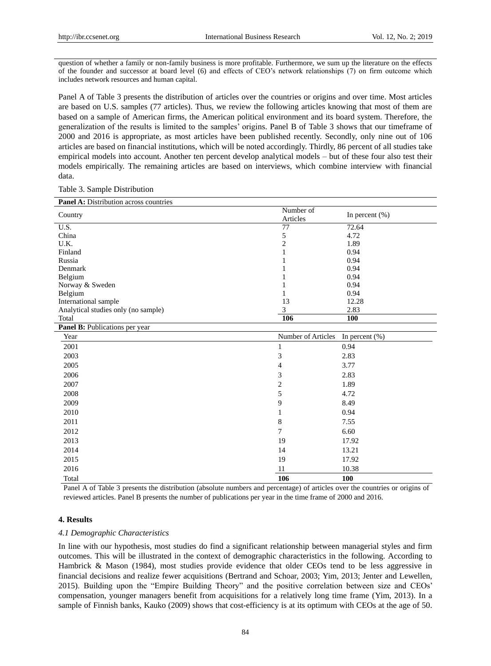question of whether a family or non-family business is more profitable. Furthermore, we sum up the literature on the effects of the founder and successor at board level (6) and effects of CEO's network relationships (7) on firm outcome which includes network resources and human capital.

Panel A of Table 3 presents the distribution of articles over the countries or origins and over time. Most articles are based on U.S. samples (77 articles). Thus, we review the following articles knowing that most of them are based on a sample of American firms, the American political environment and its board system. Therefore, the generalization of the results is limited to the samples' origins. Panel B of Table 3 shows that our timeframe of 2000 and 2016 is appropriate, as most articles have been published recently. Secondly, only nine out of 106 articles are based on financial institutions, which will be noted accordingly. Thirdly, 86 percent of all studies take empirical models into account. Another ten percent develop analytical models – but of these four also test their models empirically. The remaining articles are based on interviews, which combine interview with financial data.

Table 3. Sample Distribution

| <b>Panel A:</b> Distribution across countries |                    |                    |  |
|-----------------------------------------------|--------------------|--------------------|--|
| Country                                       | Number of          | In percent $(\% )$ |  |
|                                               | Articles           |                    |  |
| $\overline{U.S.}$                             | $\overline{77}$    | 72.64              |  |
| China                                         | 5                  | 4.72               |  |
| U.K.                                          | $\overline{c}$     | 1.89               |  |
| Finland                                       | $\mathbf{1}$       | 0.94               |  |
| Russia                                        |                    | 0.94               |  |
| Denmark                                       |                    | 0.94               |  |
| Belgium                                       |                    | 0.94               |  |
| Norway & Sweden                               | 1                  | 0.94               |  |
| Belgium                                       | 1                  | 0.94               |  |
| International sample                          | 13                 | 12.28              |  |
| Analytical studies only (no sample)           | 3                  | 2.83               |  |
| Total                                         | 106                | 100                |  |
| Panel B: Publications per year                |                    |                    |  |
| Year                                          | Number of Articles | In percent $(\%)$  |  |
| 2001                                          | 1                  | 0.94               |  |
| 2003                                          | 3                  | 2.83               |  |
| 2005                                          | $\overline{4}$     | 3.77               |  |
| 2006                                          | 3                  | 2.83               |  |
| 2007                                          | $\overline{c}$     | 1.89               |  |
| 2008                                          | 5                  | 4.72               |  |
| 2009                                          | 9                  | 8.49               |  |
| 2010                                          | $\mathbf{1}$       | 0.94               |  |
| 2011                                          | $\,8\,$            | 7.55               |  |
| 2012                                          | $\overline{7}$     | 6.60               |  |
| 2013                                          | 19                 | 17.92              |  |
| 2014                                          | 14                 | 13.21              |  |
| 2015                                          | 19                 | 17.92              |  |
| 2016                                          | 11                 | 10.38              |  |
| Total                                         | 106                | 100                |  |

Panel A of Table 3 presents the distribution (absolute numbers and percentage) of articles over the countries or origins of reviewed articles. Panel B presents the number of publications per year in the time frame of 2000 and 2016.

## **4. Results**

#### *4.1 Demographic Characteristics*

In line with our hypothesis, most studies do find a significant relationship between managerial styles and firm outcomes. This will be illustrated in the context of demographic characteristics in the following. According to Hambrick & Mason (1984), most studies provide evidence that older CEOs tend to be less aggressive in financial decisions and realize fewer acquisitions (Bertrand and Schoar, 2003; Yim, 2013; Jenter and Lewellen, 2015). Building upon the "Empire Building Theory" and the positive correlation between size and CEOs' compensation, younger managers benefit from acquisitions for a relatively long time frame (Yim, 2013). In a sample of Finnish banks, Kauko (2009) shows that cost-efficiency is at its optimum with CEOs at the age of 50.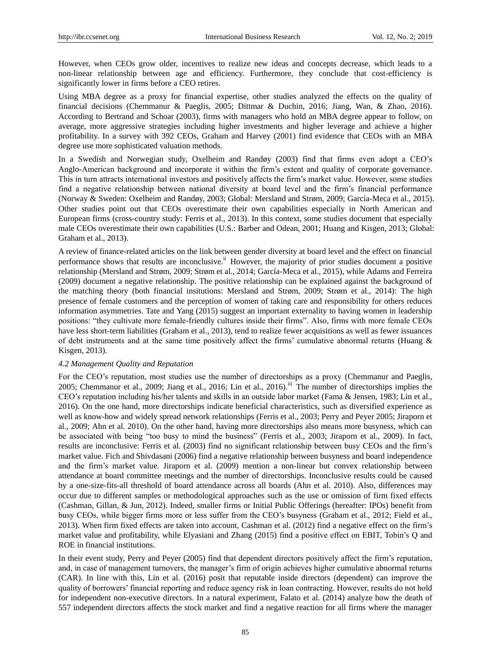However, when CEOs grow older, incentives to realize new ideas and concepts decrease, which leads to a non-linear relationship between age and efficiency. Furthermore, they conclude that cost-efficiency is significantly lower in firms before a CEO retires.

Using MBA degree as a proxy for financial expertise, other studies analyzed the effects on the quality of financial decisions (Chemmanur & Paeglis, 2005; Dittmar & Duchin, 2016; Jiang, Wan, & Zhao, 2016). According to Bertrand and Schoar (2003), firms with managers who hold an MBA degree appear to follow, on average, more aggressive strategies including higher investments and higher leverage and achieve a higher profitability. In a survey with 392 CEOs, Graham and Harvey (2001) find evidence that CEOs with an MBA degree use more sophisticated valuation methods.

In a Swedish and Norwegian study, Oxelheim and Randøy (2003) find that firms even adopt a CEO's Anglo-American background and incorporate it within the firm's extent and quality of corporate governance. This in turn attracts international investors and positively affects the firm's market value. However, some studies find a negative relationship between national diversity at board level and the firm's financial performance (Norway & Sweden: Oxelheim and Randøy, 2003; Global: Mersland and Strøm, 2009; García-Meca et al., 2015). Other studies point out that CEOs overestimate their own capabilities especially in North American and European firms (cross-country study: Ferris et al., 2013). In this context, some studies document that especially male CEOs overestimate their own capabilities (U.S.: Barber and Odean, 2001; Huang and Kisgen, 2013; Global: Graham et al., 2013).

A review of finance-related articles on the link between gender diversity at board level and the effect on financial performance shows that results are inconclusive.<sup>ii</sup> However, the majority of prior studies document a positive relationship (Mersland and Strøm, 2009; Strøm et al., 2014; García-Meca et al., 2015), while Adams and Ferreira (2009) document a negative relationship. The positive relationship can be explained against the background of the matching theory (both financial insitutions: Mersland and Strøm, 2009; Strøm et al., 2014): The high presence of female customers and the perception of women of taking care and responsibility for others reduces information asymmetries. Tate and Yang (2015) suggest an important externality to having women in leadership positions: "they cultivate more female-friendly cultures inside their firms". Also, firms with more female CEOs have less short-term liabilities (Graham et al., 2013), tend to realize fewer acquisitions as well as fewer issuances of debt instruments and at the same time positively affect the firms' cumulative abnormal returns (Huang & Kisgen, 2013).

#### *4.2 Management Quality and Reputation*

For the CEO's reputation, most studies use the number of directorships as a proxy (Chemmanur and Paeglis, 2005; Chemmanur et al., 2009; Jiang et al., 2016; Lin et al., 2016).<sup>iii</sup> The number of directorships implies the CEO's reputation including his/her talents and skills in an outside labor market (Fama & Jensen, 1983; Lin et al., 2016). On the one hand, more directorships indicate beneficial characteristics, such as diversified experience as well as know-how and widely spread network relationships (Ferris et al., 2003; Perry and Peyer 2005; Jiraporn et al., 2009; Ahn et al. 2010). On the other hand, having more directorships also means more busyness, which can be associated with being "too busy to mind the business" (Ferris et al., 2003; Jiraporn et al., 2009). In fact, results are inconclusive: Ferris et al. (2003) find no significant relationship between busy CEOs and the firm's market value. Fich and Shivdasani (2006) find a negative relationship between busyness and board independence and the firm's market value. Jiraporn et al. (2009) mention a non-linear but convex relationship between attendance at board committee meetings and the number of directorships. Inconclusive results could be caused by a one-size-fits-all threshold of board attendance across all boards (Ahn et al. 2010). Also, differences may occur due to different samples or methodological approaches such as the use or omission of firm fixed effects (Cashman, Gillan, & Jun, 2012). Indeed, smaller firms or Initial Public Offerings (hereafter: IPOs) benefit from busy CEOs, while bigger firms more or less suffer from the CEO's busyness (Graham et al., 2012; Field et al., 2013). When firm fixed effects are taken into account, Cashman et al. (2012) find a negative effect on the firm's market value and profitability, while Elyasiani and Zhang (2015) find a positive effect on EBIT, Tobin's Q and ROE in financial institutions.

In their event study, Perry and Peyer (2005) find that dependent directors positively affect the firm's reputation, and, in case of management turnovers, the manager's firm of origin achieves higher cumulative abnormal returns (CAR). In line with this, Lin et al. (2016) posit that reputable inside directors (dependent) can improve the quality of borrowers' financial reporting and reduce agency risk in loan contracting. However, results do not hold for independent non-executive directors. In a natural experiment, Falato et al. (2014) analyze how the death of 557 independent directors affects the stock market and find a negative reaction for all firms where the manager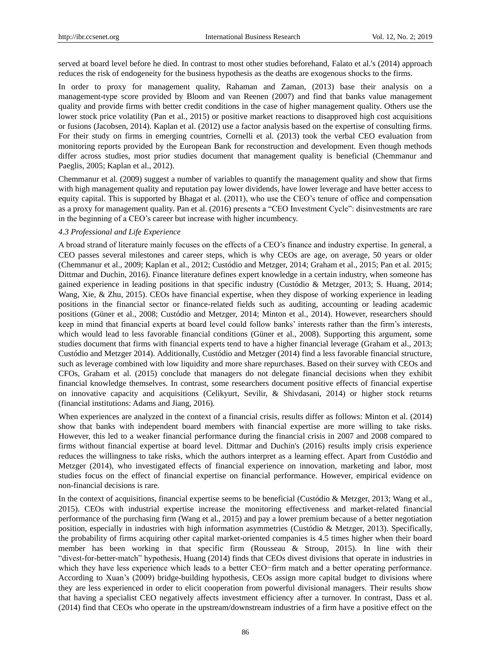served at board level before he died. In contrast to most other studies beforehand, Falato et al.'s (2014) approach reduces the risk of endogeneity for the business hypothesis as the deaths are exogenous shocks to the firms.

In order to proxy for management quality, Rahaman and Zaman, (2013) base their analysis on a management-type score provided by Bloom and van Reenen (2007) and find that banks value management quality and provide firms with better credit conditions in the case of higher management quality. Others use the lower stock price volatility (Pan et al., 2015) or positive market reactions to disapproved high cost acquisitions or fusions (Jacobsen, 2014). Kaplan et al. (2012) use a factor analysis based on the expertise of consulting firms. For their study on firms in emerging countries, Cornelli et al. (2013) took the verbal CEO evaluation from monitoring reports provided by the European Bank for reconstruction and development. Even though methods differ across studies, most prior studies document that management quality is beneficial (Chemmanur and Paeglis, 2005; Kaplan et al., 2012).

Chemmanur et al. (2009) suggest a number of variables to quantify the management quality and show that firms with high management quality and reputation pay lower dividends, have lower leverage and have better access to equity capital. This is supported by Bhagat et al. (2011), who use the CEO's tenure of office and compensation as a proxy for management quality. Pan et al. (2016) presents a "CEO Investment Cycle": disinvestments are rare in the beginning of a CEO's career but increase with higher incumbency.

# *4.3 Professional and Life Experience*

A broad strand of literature mainly focuses on the effects of a CEO's finance and industry expertise. In general, a CEO passes several milestones and career steps, which is why CEOs are age, on average, 50 years or older (Chemmanur et al., 2009; Kaplan et al., 2012; Custódio and Metzger, 2014; Graham et al., 2015; Pan et al. 2015; Dittmar and Duchin, 2016). Finance literature defines expert knowledge in a certain industry, when someone has gained experience in leading positions in that specific industry (Custódio & Metzger, 2013; S. Huang, 2014; Wang, Xie, & Zhu, 2015). CEOs have financial expertise, when they dispose of working experience in leading positions in the financial sector or finance-related fields such as auditing, accounting or leading academic positions (Güner et al., 2008; Custódio and Metzger, 2014; Minton et al., 2014). However, researchers should keep in mind that financial experts at board level could follow banks' interests rather than the firm's interests, which would lead to less favorable financial conditions (Güner et al., 2008). Supporting this argument, some studies document that firms with financial experts tend to have a higher financial leverage (Graham et al., 2013; Custódio and Metzger 2014). Additionally, Custódio and Metzger (2014) find a less favorable financial structure, such as leverage combined with low liquidity and more share repurchases. Based on their survey with CEOs and CFOs, Graham et al. (2015) conclude that managers do not delegate financial decisions when they exhibit financial knowledge themselves. In contrast, some researchers document positive effects of financial expertise on innovative capacity and acquisitions (Celikyurt, Sevilir, & Shivdasani, 2014) or higher stock returns (financial institutions: Adams and Jiang, 2016).

When experiences are analyzed in the context of a financial crisis, results differ as follows: Minton et al. (2014) show that banks with independent board members with financial expertise are more willing to take risks. However, this led to a weaker financial performance during the financial crisis in 2007 and 2008 compared to firms without financial expertise at board level. Dittmar and Duchin's (2016) results imply crisis experience reduces the willingness to take risks, which the authors interpret as a learning effect. Apart from Custódio and Metzger (2014), who investigated effects of financial experience on innovation, marketing and labor, most studies focus on the effect of financial expertise on financial performance. However, empirical evidence on non-financial decisions is rare.

In the context of acquisitions, financial expertise seems to be beneficial (Custódio & Metzger, 2013; Wang et al., 2015). CEOs with industrial expertise increase the monitoring effectiveness and market-related financial performance of the purchasing firm (Wang et al., 2015) and pay a lower premium because of a better negotiation position, especially in industries with high information asymmetries (Custódio & Metzger, 2013). Specifically, the probability of firms acquiring other capital market-oriented companies is 4.5 times higher when their board member has been working in that specific firm (Rousseau & Stroup, 2015). In line with their "divest-for-better-match" hypothesis, Huang (2014) finds that CEOs divest divisions that operate in industries in which they have less experience which leads to a better CEO−firm match and a better operating performance. According to Xuan's (2009) bridge-building hypothesis, CEOs assign more capital budget to divisions where they are less experienced in order to elicit cooperation from powerful divisional managers. Their results show that having a specialist CEO negatively affects investment efficiency after a turnover. In contrast, Dass et al. (2014) find that CEOs who operate in the upstream/downstream industries of a firm have a positive effect on the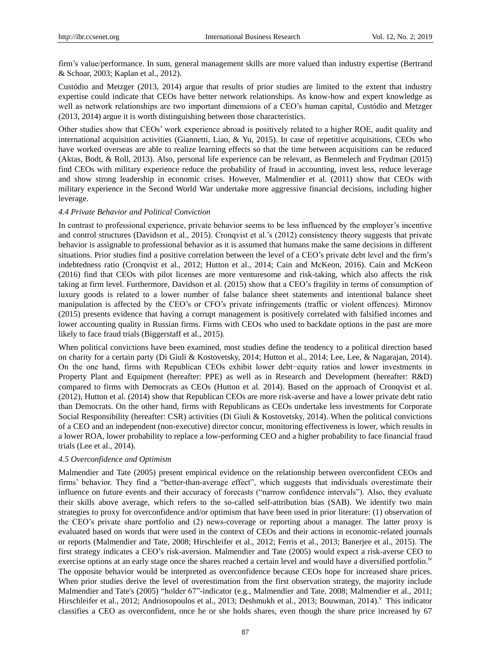firm's value/performance. In sum, general management skills are more valued than industry expertise (Bertrand & Schoar, 2003; Kaplan et al., 2012).

Custódio and Metzger (2013, 2014) argue that results of prior studies are limited to the extent that industry expertise could indicate that CEOs have better network relationships. As know-how and expert knowledge as well as network relationships are two important dimensions of a CEO's human capital, Custódio and Metzger (2013, 2014) argue it is worth distinguishing between those characteristics.

Other studies show that CEOs' work experience abroad is positively related to a higher ROE, audit quality and international acquisition activities (Giannetti, Liao, & Yu, 2015). In case of repetitive acquisitions, CEOs who have worked overseas are able to realize learning effects so that the time between acquisitions can be reduced (Aktas, Bodt, & Roll, 2013). Also, personal life experience can be relevant, as Benmelech and Frydman (2015) find CEOs with military experience reduce the probability of fraud in accounting, invest less, reduce leverage and show strong leadership in economic crises. However, Malmendier et al. (2011) show that CEOs with military experience in the Second World War undertake more aggressive financial decisions, including higher leverage.

#### *4.4 Private Behavior and Political Conviction*

In contrast to professional experience, private behavior seems to be less influenced by the employer's incentive and control structures (Davidson et al., 2015). Cronqvist et al.'s (2012) consistency theory suggests that private behavior is assignable to professional behavior as it is assumed that humans make the same decisions in different situations. Prior studies find a positive correlation between the level of a CEO's private debt level and the firm's indebtedness ratio (Cronqvist et al., 2012; Hutton et al., 2014; Cain and McKeon, 2016). Cain and McKeon (2016) find that CEOs with pilot licenses are more venturesome and risk-taking, which also affects the risk taking at firm level. Furthermore, Davidson et al. (2015) show that a CEO's fragility in terms of consumption of luxury goods is related to a lower number of false balance sheet statements and intentional balance sheet manipulation is affected by the CEO's or CFO's private infringements (traffic or violent offences). Mironov (2015) presents evidence that having a corrupt management is positively correlated with falsified incomes and lower accounting quality in Russian firms. Firms with CEOs who used to backdate options in the past are more likely to face fraud trials (Biggerstaff et al., 2015).

When political convictions have been examined, most studies define the tendency to a political direction based on charity for a certain party (Di Giuli & Kostovetsky, 2014; Hutton et al., 2014; Lee, Lee, & Nagarajan, 2014). On the one hand, firms with Republican CEOs exhibit lower debt−equity ratios and lower investments in Property Plant and Equipment (hereafter: PPE) as well as in Research and Development (hereafter: R&D) compared to firms with Democrats as CEOs (Hutton et al. 2014). Based on the approach of Cronqvist et al. (2012), Hutton et al. (2014) show that Republican CEOs are more risk-averse and have a lower private debt ratio than Democrats. On the other hand, firms with Republicans as CEOs undertake less investments for Corporate Social Responsibility (hereafter: CSR) activities (Di Giuli & Kostovetsky, 2014). When the political convictions of a CEO and an independent (non-executive) director concur, monitoring effectiveness is lower, which results in a lower ROA, lower probability to replace a low-performing CEO and a higher probability to face financial fraud trials (Lee et al., 2014).

#### *4.5 Overconfidence and Optimism*

Malmendier and Tate (2005) present empirical evidence on the relationship between overconfident CEOs and firms' behavior. They find a "better-than-average effect", which suggests that individuals overestimate their influence on future events and their accuracy of forecasts ("narrow confidence intervals"). Also, they evaluate their skills above average, which refers to the so-called self-attribution bias (SAB). We identify two main strategies to proxy for overconfidence and/or optimism that have been used in prior literature: (1) observation of the CEO's private share portfolio and (2) news-coverage or reporting about a manager. The latter proxy is evaluated based on words that were used in the context of CEOs and their actions in economic-related journals or reports (Malmendier and Tate, 2008; Hirschleifer et al., 2012; Ferris et al., 2013; Banerjee et al., 2015). The first strategy indicates a CEO's risk-aversion. Malmendier and Tate (2005) would expect a risk-averse CEO to exercise options at an early stage once the shares reached a certain level and would have a diversified portfolio.<sup>iv</sup> The opposite behavior would be interpreted as overconfidence because CEOs hope for increased share prices. When prior studies derive the level of overestimation from the first observation strategy, the majority include Malmendier and Tate's (2005) "holder 67"-indicator (e.g., Malmendier and Tate, 2008; Malmendier et al., 2011; Hirschleifer et al., 2012; Andriosopoulos et al., 2013; Deshmukh et al., 2013; Bouwman, 2014). <sup>v</sup> This indicator classifies a CEO as overconfident, once he or she holds shares, even though the share price increased by 67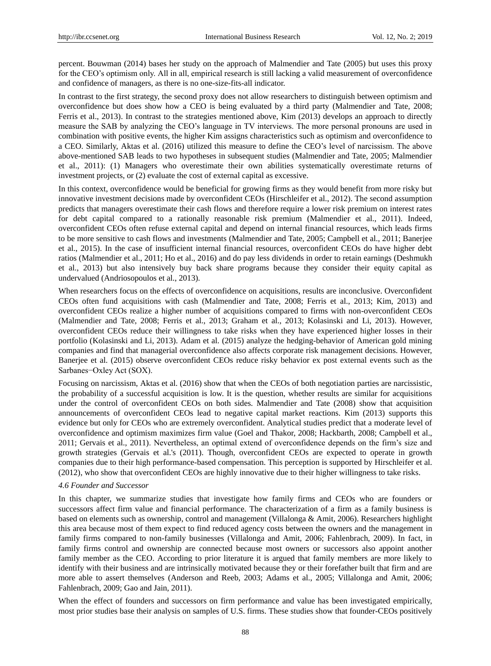percent. Bouwman (2014) bases her study on the approach of Malmendier and Tate (2005) but uses this proxy for the CEO's optimism only. All in all, empirical research is still lacking a valid measurement of overconfidence and confidence of managers, as there is no one-size-fits-all indicator.

In contrast to the first strategy, the second proxy does not allow researchers to distinguish between optimism and overconfidence but does show how a CEO is being evaluated by a third party (Malmendier and Tate, 2008; Ferris et al., 2013). In contrast to the strategies mentioned above, Kim (2013) develops an approach to directly measure the SAB by analyzing the CEO's language in TV interviews. The more personal pronouns are used in combination with positive events, the higher Kim assigns characteristics such as optimism and overconfidence to a CEO. Similarly, Aktas et al. (2016) utilized this measure to define the CEO's level of narcissism. The above above-mentioned SAB leads to two hypotheses in subsequent studies (Malmendier and Tate, 2005; Malmendier et al., 2011): (1) Managers who overestimate their own abilities systematically overestimate returns of investment projects, or (2) evaluate the cost of external capital as excessive.

In this context, overconfidence would be beneficial for growing firms as they would benefit from more risky but innovative investment decisions made by overconfident CEOs (Hirschleifer et al., 2012). The second assumption predicts that managers overestimate their cash flows and therefore require a lower risk premium on interest rates for debt capital compared to a rationally reasonable risk premium (Malmendier et al., 2011). Indeed, overconfident CEOs often refuse external capital and depend on internal financial resources, which leads firms to be more sensitive to cash flows and investments (Malmendier and Tate, 2005; Campbell et al., 2011; Banerjee et al., 2015). In the case of insufficient internal financial resources, overconfident CEOs do have higher debt ratios (Malmendier et al., 2011; Ho et al., 2016) and do pay less dividends in order to retain earnings (Deshmukh et al., 2013) but also intensively buy back share programs because they consider their equity capital as undervalued (Andriosopoulos et al., 2013).

When researchers focus on the effects of overconfidence on acquisitions, results are inconclusive. Overconfident CEOs often fund acquisitions with cash (Malmendier and Tate, 2008; Ferris et al., 2013; Kim, 2013) and overconfident CEOs realize a higher number of acquisitions compared to firms with non-overconfident CEOs (Malmendier and Tate, 2008; Ferris et al., 2013; Graham et al., 2013; Kolasinski and Li, 2013). However, overconfident CEOs reduce their willingness to take risks when they have experienced higher losses in their portfolio (Kolasinski and Li, 2013). Adam et al. (2015) analyze the hedging-behavior of American gold mining companies and find that managerial overconfidence also affects corporate risk management decisions. However, Banerjee et al. (2015) observe overconfident CEOs reduce risky behavior ex post external events such as the Sarbanes−Oxley Act (SOX).

Focusing on narcissism, Aktas et al. (2016) show that when the CEOs of both negotiation parties are narcissistic, the probability of a successful acquisition is low. It is the question, whether results are similar for acquisitions under the control of overconfident CEOs on both sides. Malmendier and Tate (2008) show that acquisition announcements of overconfident CEOs lead to negative capital market reactions. Kim (2013) supports this evidence but only for CEOs who are extremely overconfident. Analytical studies predict that a moderate level of overconfidence and optimism maximizes firm value (Goel and Thakor, 2008; Hackbarth, 2008; Campbell et al., 2011; Gervais et al., 2011). Nevertheless, an optimal extend of overconfidence depends on the firm's size and growth strategies (Gervais et al.'s (2011). Though, overconfident CEOs are expected to operate in growth companies due to their high performance-based compensation. This perception is supported by Hirschleifer et al. (2012), who show that overconfident CEOs are highly innovative due to their higher willingness to take risks.

#### *4.6 Founder and Successor*

In this chapter, we summarize studies that investigate how family firms and CEOs who are founders or successors affect firm value and financial performance. The characterization of a firm as a family business is based on elements such as ownership, control and management (Villalonga & Amit, 2006). Researchers highlight this area because most of them expect to find reduced agency costs between the owners and the management in family firms compared to non-family businesses (Villalonga and Amit, 2006; Fahlenbrach, 2009). In fact, in family firms control and ownership are connected because most owners or successors also appoint another family member as the CEO. According to prior literature it is argued that family members are more likely to identify with their business and are intrinsically motivated because they or their forefather built that firm and are more able to assert themselves (Anderson and Reeb, 2003; Adams et al., 2005; Villalonga and Amit, 2006; Fahlenbrach, 2009; Gao and Jain, 2011).

When the effect of founders and successors on firm performance and value has been investigated empirically, most prior studies base their analysis on samples of U.S. firms. These studies show that founder-CEOs positively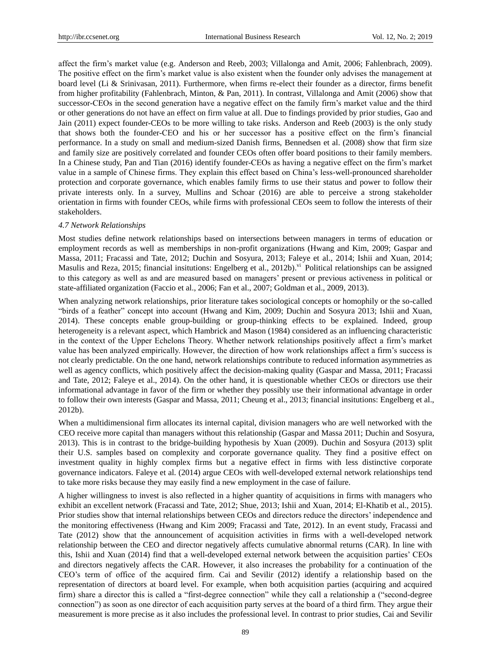affect the firm's market value (e.g. Anderson and Reeb, 2003; Villalonga and Amit, 2006; Fahlenbrach, 2009). The positive effect on the firm's market value is also existent when the founder only advises the management at board level (Li & Srinivasan, 2011). Furthermore, when firms re-elect their founder as a director, firms benefit from higher profitability (Fahlenbrach, Minton, & Pan, 2011). In contrast, Villalonga and Amit (2006) show that successor-CEOs in the second generation have a negative effect on the family firm's market value and the third or other generations do not have an effect on firm value at all. Due to findings provided by prior studies, Gao and Jain (2011) expect founder-CEOs to be more willing to take risks. Anderson and Reeb (2003) is the only study that shows both the founder-CEO and his or her successor has a positive effect on the firm's financial performance. In a study on small and medium-sized Danish firms, Bennedsen et al. (2008) show that firm size and family size are positively correlated and founder CEOs often offer board positions to their family members. In a Chinese study, Pan and Tian (2016) identify founder-CEOs as having a negative effect on the firm's market value in a sample of Chinese firms. They explain this effect based on China's less-well-pronounced shareholder protection and corporate governance, which enables family firms to use their status and power to follow their private interests only. In a survey, Mullins and Schoar (2016) are able to perceive a strong stakeholder orientation in firms with founder CEOs, while firms with professional CEOs seem to follow the interests of their stakeholders.

#### *4.7 Network Relationships*

Most studies define network relationships based on intersections between managers in terms of education or employment records as well as memberships in non-profit organizations (Hwang and Kim, 2009; Gaspar and Massa, 2011; Fracassi and Tate, 2012; Duchin and Sosyura, 2013; Faleye et al., 2014; Ishii and Xuan, 2014; Masulis and Reza, 2015; financial insitutions: Engelberg et al., 2012b).<sup>vi</sup> Political relationships can be assigned to this category as well as and are measured based on managers' present or previous activeness in political or state-affiliated organization (Faccio et al., 2006; Fan et al., 2007; Goldman et al., 2009, 2013).

When analyzing network relationships, prior literature takes sociological concepts or homophily or the so-called "birds of a feather" concept into account (Hwang and Kim, 2009; Duchin and Sosyura 2013; Ishii and Xuan, 2014). These concepts enable group-building or group-thinking effects to be explained. Indeed, group heterogeneity is a relevant aspect, which Hambrick and Mason (1984) considered as an influencing characteristic in the context of the Upper Echelons Theory. Whether network relationships positively affect a firm's market value has been analyzed empirically. However, the direction of how work relationships affect a firm's success is not clearly predictable. On the one hand, network relationships contribute to reduced information asymmetries as well as agency conflicts, which positively affect the decision-making quality (Gaspar and Massa, 2011; Fracassi and Tate, 2012; Faleye et al., 2014). On the other hand, it is questionable whether CEOs or directors use their informational advantage in favor of the firm or whether they possibly use their informational advantage in order to follow their own interests (Gaspar and Massa, 2011; Cheung et al., 2013; financial insitutions: Engelberg et al., 2012b).

When a multidimensional firm allocates its internal capital, division managers who are well networked with the CEO receive more capital than managers without this relationship (Gaspar and Massa 2011; Duchin and Sosyura, 2013). This is in contrast to the bridge-building hypothesis by Xuan (2009). Duchin and Sosyura (2013) split their U.S. samples based on complexity and corporate governance quality. They find a positive effect on investment quality in highly complex firms but a negative effect in firms with less distinctive corporate governance indicators. Faleye et al. (2014) argue CEOs with well-developed external network relationships tend to take more risks because they may easily find a new employment in the case of failure.

A higher willingness to invest is also reflected in a higher quantity of acquisitions in firms with managers who exhibit an excellent network (Fracassi and Tate, 2012; Shue, 2013; Ishii and Xuan, 2014; El-Khatib et al., 2015). Prior studies show that internal relationships between CEOs and directors reduce the directors' independence and the monitoring effectiveness (Hwang and Kim 2009; Fracassi and Tate, 2012). In an event study, Fracassi and Tate (2012) show that the announcement of acquisition activities in firms with a well-developed network relationship between the CEO and director negatively affects cumulative abnormal returns (CAR). In line with this, Ishii and Xuan (2014) find that a well-developed external network between the acquisition parties' CEOs and directors negatively affects the CAR. However, it also increases the probability for a continuation of the CEO's term of office of the acquired firm. Cai and Sevilir (2012) identify a relationship based on the representation of directors at board level. For example, when both acquisition parties (acquiring and acquired firm) share a director this is called a "first-degree connection" while they call a relationship a ("second-degree connection") as soon as one director of each acquisition party serves at the board of a third firm. They argue their measurement is more precise as it also includes the professional level. In contrast to prior studies, Cai and Sevilir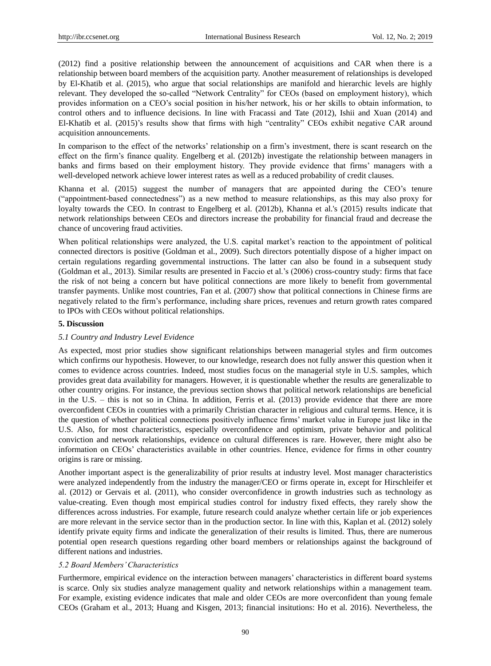(2012) find a positive relationship between the announcement of acquisitions and CAR when there is a relationship between board members of the acquisition party. Another measurement of relationships is developed by El-Khatib et al. (2015), who argue that social relationships are manifold and hierarchic levels are highly relevant. They developed the so-called "Network Centrality" for CEOs (based on employment history), which provides information on a CEO's social position in his/her network, his or her skills to obtain information, to control others and to influence decisions. In line with Fracassi and Tate (2012), Ishii and Xuan (2014) and El-Khatib et al. (2015)'s results show that firms with high "centrality" CEOs exhibit negative CAR around acquisition announcements.

In comparison to the effect of the networks' relationship on a firm's investment, there is scant research on the effect on the firm's finance quality. Engelberg et al. (2012b) investigate the relationship between managers in banks and firms based on their employment history. They provide evidence that firms' managers with a well-developed network achieve lower interest rates as well as a reduced probability of credit clauses.

Khanna et al. (2015) suggest the number of managers that are appointed during the CEO's tenure ("appointment-based connectedness") as a new method to measure relationships, as this may also proxy for loyalty towards the CEO. In contrast to Engelberg et al. (2012b), Khanna et al.'s (2015) results indicate that network relationships between CEOs and directors increase the probability for financial fraud and decrease the chance of uncovering fraud activities.

When political relationships were analyzed, the U.S. capital market's reaction to the appointment of political connected directors is positive (Goldman et al., 2009). Such directors potentially dispose of a higher impact on certain regulations regarding governmental instructions. The latter can also be found in a subsequent study (Goldman et al., 2013). Similar results are presented in Faccio et al.'s (2006) cross-country study: firms that face the risk of not being a concern but have political connections are more likely to benefit from governmental transfer payments. Unlike most countries, Fan et al. (2007) show that political connections in Chinese firms are negatively related to the firm's performance, including share prices, revenues and return growth rates compared to IPOs with CEOs without political relationships.

#### **5. Discussion**

#### *5.1 Country and Industry Level Evidence*

As expected, most prior studies show significant relationships between managerial styles and firm outcomes which confirms our hypothesis. However, to our knowledge, research does not fully answer this question when it comes to evidence across countries. Indeed, most studies focus on the managerial style in U.S. samples, which provides great data availability for managers. However, it is questionable whether the results are generalizable to other country origins. For instance, the previous section shows that political network relationships are beneficial in the U.S. – this is not so in China. In addition, Ferris et al. (2013) provide evidence that there are more overconfident CEOs in countries with a primarily Christian character in religious and cultural terms. Hence, it is the question of whether political connections positively influence firms' market value in Europe just like in the U.S. Also, for most characteristics, especially overconfidence and optimism, private behavior and political conviction and network relationships, evidence on cultural differences is rare. However, there might also be information on CEOs' characteristics available in other countries. Hence, evidence for firms in other country origins is rare or missing.

Another important aspect is the generalizability of prior results at industry level. Most manager characteristics were analyzed independently from the industry the manager/CEO or firms operate in, except for Hirschleifer et al. (2012) or Gervais et al. (2011), who consider overconfidence in growth industries such as technology as value-creating. Even though most empirical studies control for industry fixed effects, they rarely show the differences across industries. For example, future research could analyze whether certain life or job experiences are more relevant in the service sector than in the production sector. In line with this, Kaplan et al. (2012) solely identify private equity firms and indicate the generalization of their results is limited. Thus, there are numerous potential open research questions regarding other board members or relationships against the background of different nations and industries.

#### *5.2 Board Members' Characteristics*

Furthermore, empirical evidence on the interaction between managers' characteristics in different board systems is scarce. Only six studies analyze management quality and network relationships within a management team. For example, existing evidence indicates that male and older CEOs are more overconfident than young female CEOs (Graham et al., 2013; Huang and Kisgen, 2013; financial insitutions: Ho et al. 2016). Nevertheless, the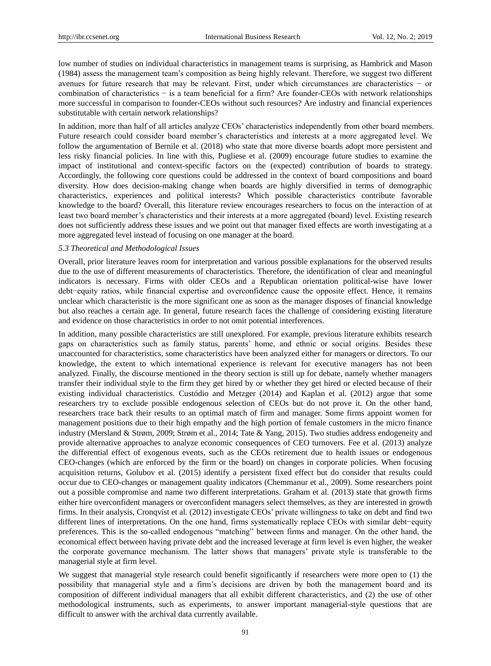low number of studies on individual characteristics in management teams is surprising, as Hambrick and Mason (1984) assess the management team's composition as being highly relevant. Therefore, we suggest two different avenues for future research that may be relevant. First, under which circumstances are characteristics − or combination of characteristics − is a team beneficial for a firm? Are founder-CEOs with network relationships more successful in comparison to founder-CEOs without such resources? Are industry and financial experiences substitutable with certain network relationships?

In addition, more than half of all articles analyze CEOs' characteristics independently from other board members. Future research could consider board member's characteristics and interests at a more aggregated level. We follow the argumentation of Bernile et al. (2018) who state that more diverse boards adopt more persistent and less risky financial policies. In line with this, Pugliese et al. (2009) encourage future studies to examine the impact of institutional and context-specific factors on the (expected) contribution of boards to strategy. Accordingly, the following core questions could be addressed in the context of board compositions and board diversity. How does decision-making change when boards are highly diversified in terms of demographic characteristics, experiences and political interests? Which possible characteristics contribute favorable knowledge to the board? Overall, this literature review encourages researchers to focus on the interaction of at least two board member's characteristics and their interests at a more aggregated (board) level. Existing research does not sufficiently address these issues and we point out that manager fixed effects are worth investigating at a more aggregated level instead of focusing on one manager at the board.

#### *5.3 Theoretical and Methodological Issues*

Overall, prior literature leaves room for interpretation and various possible explanations for the observed results due to the use of different measurements of characteristics. Therefore, the identification of clear and meaningful indicators is necessary. Firms with older CEOs and a Republican orientation political-wise have lower debt−equity ratios, while financial expertise and overconfidence cause the opposite effect. Hence, it remains unclear which characteristic is the more significant one as soon as the manager disposes of financial knowledge but also reaches a certain age. In general, future research faces the challenge of considering existing literature and evidence on those characteristics in order to not omit potential interferences.

In addition, many possible characteristics are still unexplored. For example, previous literature exhibits research gaps on characteristics such as family status, parents' home, and ethnic or social origins. Besides these unaccounted for characteristics, some characteristics have been analyzed either for managers or directors. To our knowledge, the extent to which international experience is relevant for executive managers has not been analyzed. Finally, the discourse mentioned in the theory section is still up for debate, namely whether managers transfer their individual style to the firm they get hired by or whether they get hired or elected because of their existing individual characteristics. Custódio and Metzger (2014) and Kaplan et al. (2012) argue that some researchers try to exclude possible endogenous selection of CEOs but do not prove it. On the other hand, researchers trace back their results to an optimal match of firm and manager. Some firms appoint women for management positions due to their high empathy and the high portion of female customers in the micro finance industry (Mersland & Strøm, 2009; Strøm et al., 2014; Tate & Yang, 2015). Two studies address endogeneity and provide alternative approaches to analyze economic consequences of CEO turnovers. Fee et al. (2013) analyze the differential effect of exogenous events, such as the CEOs retirement due to health issues or endogenous CEO-changes (which are enforced by the firm or the board) on changes in corporate policies. When focusing acquisition returns, Golubov et al. (2015) identify a persistent fixed effect but do consider that results could occur due to CEO-changes or management quality indicators (Chemmanur et al., 2009). Some researchers point out a possible compromise and name two different interpretations. Graham et al. (2013) state that growth firms either hire overconfident managers or overconfident managers select themselves, as they are interested in growth firms. In their analysis, Cronqvist et al. (2012) investigate CEOs' private willingness to take on debt and find two different lines of interpretations. On the one hand, firms systematically replace CEOs with similar debt−equity preferences. This is the so-called endogenous "matching" between firms and manager. On the other hand, the economical effect between having private debt and the increased leverage at firm level is even higher, the weaker the corporate governance mechanism. The latter shows that managers' private style is transferable to the managerial style at firm level.

We suggest that managerial style research could benefit significantly if researchers were more open to (1) the possibility that managerial style and a firm's decisions are driven by both the management board and its composition of different individual managers that all exhibit different characteristics, and (2) the use of other methodological instruments, such as experiments, to answer important managerial-style questions that are difficult to answer with the archival data currently available.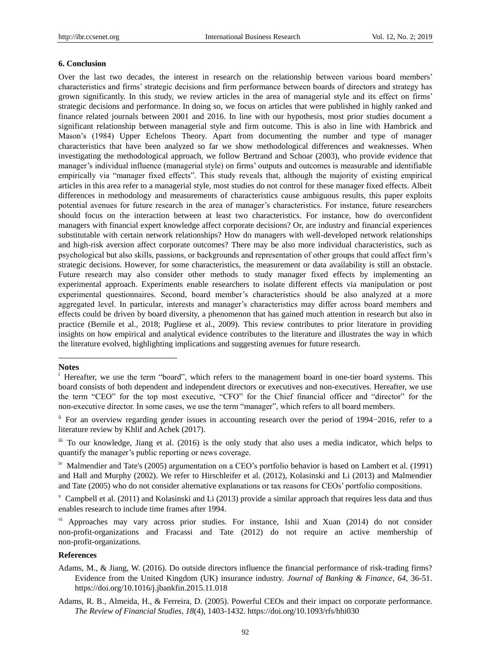#### **6. Conclusion**

Over the last two decades, the interest in research on the relationship between various board members' characteristics and firms' strategic decisions and firm performance between boards of directors and strategy has grown significantly. In this study, we review articles in the area of managerial style and its effect on firms' strategic decisions and performance. In doing so, we focus on articles that were published in highly ranked and finance related journals between 2001 and 2016. In line with our hypothesis, most prior studies document a significant relationship between managerial style and firm outcome. This is also in line with Hambrick and Mason's (1984) Upper Echelons Theory. Apart from documenting the number and type of manager characteristics that have been analyzed so far we show methodological differences and weaknesses. When investigating the methodological approach, we follow Bertrand and Schoar (2003), who provide evidence that manager's individual influence (managerial style) on firms' outputs and outcomes is measurable and identifiable empirically via "manager fixed effects". This study reveals that, although the majority of existing empirical articles in this area refer to a managerial style, most studies do not control for these manager fixed effects. Albeit differences in methodology and measurements of characteristics cause ambiguous results, this paper exploits potential avenues for future research in the area of manager's characteristics. For instance, future researchers should focus on the interaction between at least two characteristics. For instance, how do overconfident managers with financial expert knowledge affect corporate decisions? Or, are industry and financial experiences substitutable with certain network relationships? How do managers with well-developed network relationships and high-risk aversion affect corporate outcomes? There may be also more individual characteristics, such as psychological but also skills, passions, or backgrounds and representation of other groups that could affect firm's strategic decisions. However, for some characteristics, the measurement or data availability is still an obstacle. Future research may also consider other methods to study manager fixed effects by implementing an experimental approach. Experiments enable researchers to isolate different effects via manipulation or post experimental questionnaires. Second, board member's characteristics should be also analyzed at a more aggregated level. In particular, interests and manager's characteristics may differ across board members and effects could be driven by board diversity, a phenomenon that has gained much attention in research but also in practice (Bernile et al., 2018; Pugliese et al., 2009). This review contributes to prior literature in providing insights on how empirical and analytical evidence contributes to the literature and illustrates the way in which the literature evolved, highlighting implications and suggesting avenues for future research.

## **Notes**

-

## **References**

- Adams, M., & Jiang, W. (2016). Do outside directors influence the financial performance of risk-trading firms? Evidence from the United Kingdom (UK) insurance industry. *Journal of Banking & Finance*, *64*, 36-51. https://doi.org/10.1016/j.jbankfin.2015.11.018
- Adams, R. B., Almeida, H., & Ferreira, D. (2005). Powerful CEOs and their impact on corporate performance. *The Review of Financial Studies*, *18*(4), 1403-1432. https://doi.org/10.1093/rfs/hhi030

<sup>&</sup>lt;sup>i</sup> Hereafter, we use the term "board", which refers to the management board in one-tier board systems. This board consists of both dependent and independent directors or executives and non-executives. Hereafter, we use the term "CEO" for the top most executive, "CFO" for the Chief financial officer and "director" for the non-executive director. In some cases, we use the term "manager", which refers to all board members.

ii For an overview regarding gender issues in accounting research over the period of 1994−2016, refer to a literature review by Khlif and Achek (2017).

iii To our knowledge, Jiang et al. (2016) is the only study that also uses a media indicator, which helps to quantify the manager's public reporting or news coverage.

iv Malmendier and Tate's (2005) argumentation on a CEO's portfolio behavior is based on Lambert et al. (1991) and Hall and Murphy (2002). We refer to Hirschleifer et al. (2012), Kolasinski and Li (2013) and Malmendier and Tate (2005) who do not consider alternative explanations or tax reasons for CEOs' portfolio compositions.

 $\rm{v}$  Campbell et al. (2011) and Kolasinski and Li (2013) provide a similar approach that requires less data and thus enables research to include time frames after 1994.

 $\overline{v}$ <sup>i</sup> Approaches may vary across prior studies. For instance, Ishii and Xuan (2014) do not consider non-profit-organizations and Fracassi and Tate (2012) do not require an active membership of non-profit-organizations.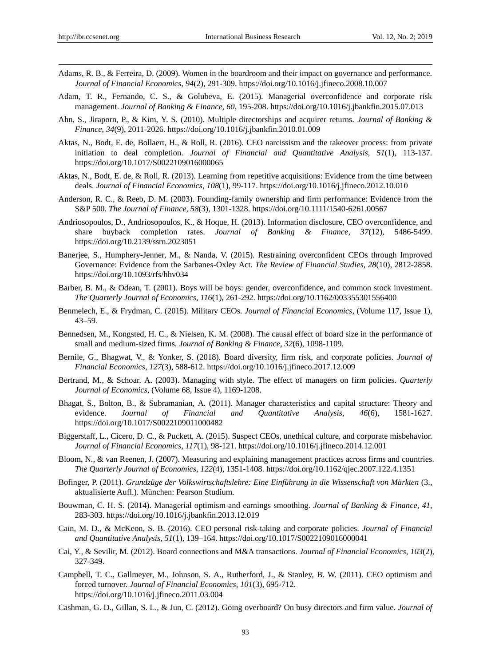- Adams, R. B., & Ferreira, D. (2009). Women in the boardroom and their impact on governance and performance. *Journal of Financial Economics*, *94*(2), 291-309. https://doi.org/10.1016/j.jfineco.2008.10.007
- Adam, T. R., Fernando, C. S., & Golubeva, E. (2015). Managerial overconfidence and corporate risk management. *Journal of Banking & Finance*, *60*, 195-208. https://doi.org/10.1016/j.jbankfin.2015.07.013
- Ahn, S., Jiraporn, P., & Kim, Y. S. (2010). Multiple directorships and acquirer returns. *Journal of Banking & Finance*, *34*(9), 2011-2026. https://doi.org/10.1016/j.jbankfin.2010.01.009
- Aktas, N., Bodt, E. de, Bollaert, H., & Roll, R. (2016). CEO narcissism and the takeover process: from private initiation to deal completion. *Journal of Financial and Quantitative Analysis*, *51*(1), 113-137. https://doi.org/10.1017/S0022109016000065
- Aktas, N., Bodt, E. de, & Roll, R. (2013). Learning from repetitive acquisitions: Evidence from the time between deals. *Journal of Financial Economics*, *108*(1), 99-117. https://doi.org/10.1016/j.jfineco.2012.10.010
- Anderson, R. C., & Reeb, D. M. (2003). Founding-family ownership and firm performance: Evidence from the S&P 500. *The Journal of Finance*, *58*(3), 1301-1328. https://doi.org/10.1111/1540-6261.00567
- Andriosopoulos, D., Andriosopoulos, K., & Hoque, H. (2013). Information disclosure, CEO overconfidence, and share buyback completion rates. *Journal of Banking & Finance*, *37*(12), 5486-5499. https://doi.org/10.2139/ssrn.2023051
- Banerjee, S., Humphery-Jenner, M., & Nanda, V. (2015). Restraining overconfident CEOs through Improved Governance: Evidence from the Sarbanes-Oxley Act. *The Review of Financial Studies*, *28*(10), 2812-2858. https://doi.org/10.1093/rfs/hhv034
- Barber, B. M., & Odean, T. (2001). Boys will be boys: gender, overconfidence, and common stock investment. *The Quarterly Journal of Economics*, *116*(1), 261-292. https://doi.org/10.1162/003355301556400
- Benmelech, E., & Frydman, C. (2015). Military CEOs. *Journal of Financial Economics*, (Volume 117, Issue 1), 43–59.
- Bennedsen, M., Kongsted, H. C., & Nielsen, K. M. (2008). The causal effect of board size in the performance of small and medium-sized firms. *Journal of Banking & Finance*, *32*(6), 1098-1109.
- Bernile, G., Bhagwat, V., & Yonker, S. (2018). Board diversity, firm risk, and corporate policies. *Journal of Financial Economics*, *127*(3), 588-612. https://doi.org/10.1016/j.jfineco.2017.12.009
- Bertrand, M., & Schoar, A. (2003). Managing with style. The effect of managers on firm policies. *Quarterly Journal of Economics*, (Volume 68, Issue 4), 1169-1208.
- Bhagat, S., Bolton, B., & Subramanian, A. (2011). Manager characteristics and capital structure: Theory and evidence. *Journal of Financial and Quantitative Analysis*, *46*(6), 1581-1627. https://doi.org/10.1017/S0022109011000482
- Biggerstaff, L., Cicero, D. C., & Puckett, A. (2015). Suspect CEOs, unethical culture, and corporate misbehavior. *Journal of Financial Economics*, *117*(1), 98-121. https://doi.org/10.1016/j.jfineco.2014.12.001
- Bloom, N., & van Reenen, J. (2007). Measuring and explaining management practices across firms and countries. *The Quarterly Journal of Economics*, *122*(4), 1351-1408. https://doi.org/10.1162/qjec.2007.122.4.1351
- Bofinger, P. (2011). *Grundzüge der Volkswirtschaftslehre: Eine Einführung in die Wissenschaft von Märkten* (3., aktualisierte Aufl.). München: Pearson Studium.
- Bouwman, C. H. S. (2014). Managerial optimism and earnings smoothing. *Journal of Banking & Finance*, *41*, 283-303. https://doi.org/10.1016/j.jbankfin.2013.12.019
- Cain, M. D., & McKeon, S. B. (2016). CEO personal risk-taking and corporate policies. *Journal of Financial and Quantitative Analysis*, *51*(1), 139–164. https://doi.org/10.1017/S0022109016000041
- Cai, Y., & Sevilir, M. (2012). Board connections and M&A transactions. *Journal of Financial Economics*, *103*(2), 327-349.
- Campbell, T. C., Gallmeyer, M., Johnson, S. A., Rutherford, J., & Stanley, B. W. (2011). CEO optimism and forced turnover. *Journal of Financial Economics*, *101*(3), 695-712. https://doi.org/10.1016/j.jfineco.2011.03.004
- Cashman, G. D., Gillan, S. L., & Jun, C. (2012). Going overboard? On busy directors and firm value. *Journal of*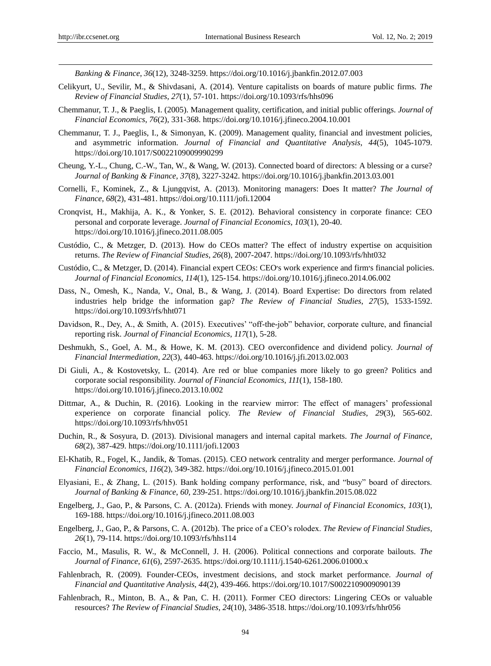*Banking & Finance*, *36*(12), 3248-3259. https://doi.org/10.1016/j.jbankfin.2012.07.003

- Celikyurt, U., Sevilir, M., & Shivdasani, A. (2014). Venture capitalists on boards of mature public firms. *The Review of Financial Studies*, *27*(1), 57-101. https://doi.org/10.1093/rfs/hhs096
- Chemmanur, T. J., & Paeglis, I. (2005). Management quality, certification, and initial public offerings. *Journal of Financial Economics*, *76*(2), 331-368. https://doi.org/10.1016/j.jfineco.2004.10.001
- Chemmanur, T. J., Paeglis, I., & Simonyan, K. (2009). Management quality, financial and investment policies, and asymmetric information. *Journal of Financial and Quantitative Analysis*, *44*(5), 1045-1079. https://doi.org/10.1017/S0022109009990299
- Cheung, Y.-L., Chung, C.-W., Tan, W., & Wang, W. (2013). Connected board of directors: A blessing or a curse? *Journal of Banking & Finance*, *37*(8), 3227-3242. https://doi.org/10.1016/j.jbankfin.2013.03.001
- Cornelli, F., Kominek, Z., & Ljungqvist, A. (2013). Monitoring managers: Does It matter? *The Journal of Finance*, *68*(2), 431-481. https://doi.org/10.1111/jofi.12004
- Cronqvist, H., Makhija, A. K., & Yonker, S. E. (2012). Behavioral consistency in corporate finance: CEO personal and corporate leverage. *Journal of Financial Economics*, *103*(1), 20-40. https://doi.org/10.1016/j.jfineco.2011.08.005
- Custódio, C., & Metzger, D. (2013). How do CEOs matter? The effect of industry expertise on acquisition returns. *The Review of Financial Studies*, *26*(8), 2007-2047. https://doi.org/10.1093/rfs/hht032
- Custódio, C., & Metzger, D. (2014). Financial expert CEOs: CEO׳s work experience and firm׳s financial policies. *Journal of Financial Economics*, *114*(1), 125-154. https://doi.org/10.1016/j.jfineco.2014.06.002
- Dass, N., Omesh, K., Nanda, V., Onal, B., & Wang, J. (2014). Board Expertise: Do directors from related industries help bridge the information gap? *The Review of Financial Studies*, *27*(5), 1533-1592. https://doi.org/10.1093/rfs/hht071
- Davidson, R., Dey, A., & Smith, A. (2015). Executives' "off-the-job" behavior, corporate culture, and financial reporting risk. *Journal of Financial Economics*, *117*(1), 5-28.
- Deshmukh, S., Goel, A. M., & Howe, K. M. (2013). CEO overconfidence and dividend policy. *Journal of Financial Intermediation*, *22*(3), 440-463. https://doi.org/10.1016/j.jfi.2013.02.003
- Di Giuli, A., & Kostovetsky, L. (2014). Are red or blue companies more likely to go green? Politics and corporate social responsibility. *Journal of Financial Economics*, *111*(1), 158-180. https://doi.org/10.1016/j.jfineco.2013.10.002
- Dittmar, A., & Duchin, R. (2016). Looking in the rearview mirror: The effect of managers' professional experience on corporate financial policy. *The Review of Financial Studies*, *29*(3), 565-602. https://doi.org/10.1093/rfs/hhv051
- Duchin, R., & Sosyura, D. (2013). Divisional managers and internal capital markets. *The Journal of Finance*, *68*(2), 387-429. https://doi.org/10.1111/jofi.12003
- El-Khatib, R., Fogel, K., Jandik, & Tomas. (2015). CEO network centrality and merger performance. *Journal of Financial Economics*, *116*(2), 349-382. https://doi.org/10.1016/j.jfineco.2015.01.001
- Elyasiani, E., & Zhang, L. (2015). Bank holding company performance, risk, and "busy" board of directors. *Journal of Banking & Finance*, *60*, 239-251. https://doi.org/10.1016/j.jbankfin.2015.08.022
- Engelberg, J., Gao, P., & Parsons, C. A. (2012a). Friends with money. *Journal of Financial Economics*, *103*(1), 169-188. https://doi.org/10.1016/j.jfineco.2011.08.003
- Engelberg, J., Gao, P., & Parsons, C. A. (2012b). The price of a CEO's rolodex. *The Review of Financial Studies*, *26*(1), 79-114. https://doi.org/10.1093/rfs/hhs114
- Faccio, M., Masulis, R. W., & McConnell, J. H. (2006). Political connections and corporate bailouts. *The Journal of Finance*, *61*(6), 2597-2635. https://doi.org/10.1111/j.1540-6261.2006.01000.x
- Fahlenbrach, R. (2009). Founder-CEOs, investment decisions, and stock market performance. *Journal of Financial and Quantitative Analysis*, *44*(2), 439-466. https://doi.org/10.1017/S0022109009090139
- Fahlenbrach, R., Minton, B. A., & Pan, C. H. (2011). Former CEO directors: Lingering CEOs or valuable resources? *The Review of Financial Studies*, *24*(10), 3486-3518. https://doi.org/10.1093/rfs/hhr056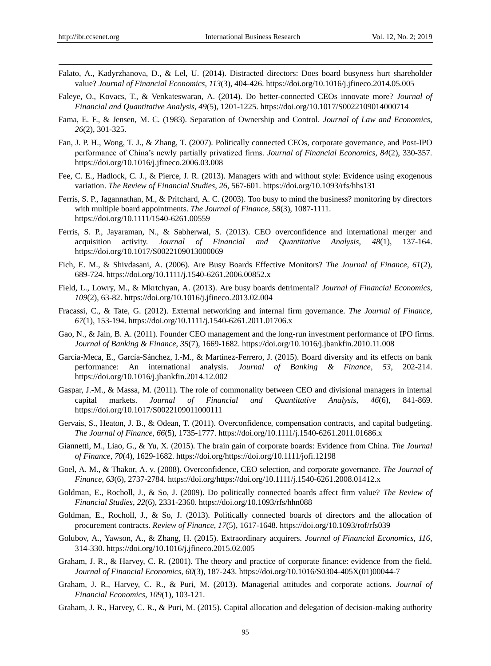- Falato, A., Kadyrzhanova, D., & Lel, U. (2014). Distracted directors: Does board busyness hurt shareholder value? *Journal of Financial Economics*, *113*(3), 404-426. https://doi.org/10.1016/j.jfineco.2014.05.005
- Faleye, O., Kovacs, T., & Venkateswaran, A. (2014). Do better-connected CEOs innovate more? *Journal of Financial and Quantitative Analysis*, *49*(5), 1201-1225. https://doi.org/10.1017/S0022109014000714
- Fama, E. F., & Jensen, M. C. (1983). Separation of Ownership and Control. *Journal of Law and Economics*, *26*(2), 301-325.
- Fan, J. P. H., Wong, T. J., & Zhang, T. (2007). Politically connected CEOs, corporate governance, and Post-IPO performance of China's newly partially privatized firms. *Journal of Financial Economics*, *84*(2), 330-357. https://doi.org/10.1016/j.jfineco.2006.03.008
- Fee, C. E., Hadlock, C. J., & Pierce, J. R. (2013). Managers with and without style: Evidence using exogenous variation. *The Review of Financial Studies*, *26*, 567-601. https://doi.org/10.1093/rfs/hhs131
- Ferris, S. P., Jagannathan, M., & Pritchard, A. C. (2003). Too busy to mind the business? monitoring by directors with multiple board appointments. *The Journal of Finance*, *58*(3), 1087-1111. https://doi.org/10.1111/1540-6261.00559
- Ferris, S. P., Jayaraman, N., & Sabherwal, S. (2013). CEO overconfidence and international merger and acquisition activity. *Journal of Financial and Quantitative Analysis*, *48*(1), 137-164. https://doi.org/10.1017/S0022109013000069
- Fich, E. M., & Shivdasani, A. (2006). Are Busy Boards Effective Monitors? *The Journal of Finance*, *61*(2), 689-724. https://doi.org/10.1111/j.1540-6261.2006.00852.x
- Field, L., Lowry, M., & Mkrtchyan, A. (2013). Are busy boards detrimental? *Journal of Financial Economics*, *109*(2), 63-82. https://doi.org/10.1016/j.jfineco.2013.02.004
- Fracassi, C., & Tate, G. (2012). External networking and internal firm governance. *The Journal of Finance*, *67*(1), 153-194. https://doi.org/10.1111/j.1540-6261.2011.01706.x
- Gao, N., & Jain, B. A. (2011). Founder CEO management and the long-run investment performance of IPO firms. *Journal of Banking & Finance*, *35*(7), 1669-1682. https://doi.org/10.1016/j.jbankfin.2010.11.008
- Garc á-Meca, E., Garc á-Sánchez, I.-M., & Mart nez-Ferrero, J. (2015). Board diversity and its effects on bank performance: An international analysis. *Journal of Banking & Finance*, *53*, 202-214. https://doi.org/10.1016/j.jbankfin.2014.12.002
- Gaspar, J.-M., & Massa, M. (2011). The role of commonality between CEO and divisional managers in internal capital markets. *Journal of Financial and Quantitative Analysis*, *46*(6), 841-869. https://doi.org/10.1017/S0022109011000111
- Gervais, S., Heaton, J. B., & Odean, T. (2011). Overconfidence, compensation contracts, and capital budgeting. *The Journal of Finance*, *66*(5), 1735-1777. https://doi.org/10.1111/j.1540-6261.2011.01686.x
- Giannetti, M., Liao, G., & Yu, X. (2015). The brain gain of corporate boards: Evidence from China. *The Journal of Finance*, *70*(4), 1629-1682. https://doi.org/https://doi.org/10.1111/jofi.12198
- Goel, A. M., & Thakor, A. v. (2008). Overconfidence, CEO selection, and corporate governance. *The Journal of Finance*, *63*(6), 2737-2784. https://doi.org/https://doi.org/10.1111/j.1540-6261.2008.01412.x
- Goldman, E., Rocholl, J., & So, J. (2009). Do politically connected boards affect firm value? *The Review of Financial Studies*, *22*(6), 2331-2360. https://doi.org/10.1093/rfs/hhn088
- Goldman, E., Rocholl, J., & So, J. (2013). Politically connected boards of directors and the allocation of procurement contracts. *Review of Finance*, *17*(5), 1617-1648. https://doi.org/10.1093/rof/rfs039
- Golubov, A., Yawson, A., & Zhang, H. (2015). Extraordinary acquirers. *Journal of Financial Economics*, *116*, 314-330. https://doi.org/10.1016/j.jfineco.2015.02.005
- Graham, J. R., & Harvey, C. R. (2001). The theory and practice of corporate finance: evidence from the field. *Journal of Financial Economics*, *60*(3), 187-243. https://doi.org/10.1016/S0304-405X(01)00044-7
- Graham, J. R., Harvey, C. R., & Puri, M. (2013). Managerial attitudes and corporate actions. *Journal of Financial Economics*, *109*(1), 103-121.
- Graham, J. R., Harvey, C. R., & Puri, M. (2015). Capital allocation and delegation of decision-making authority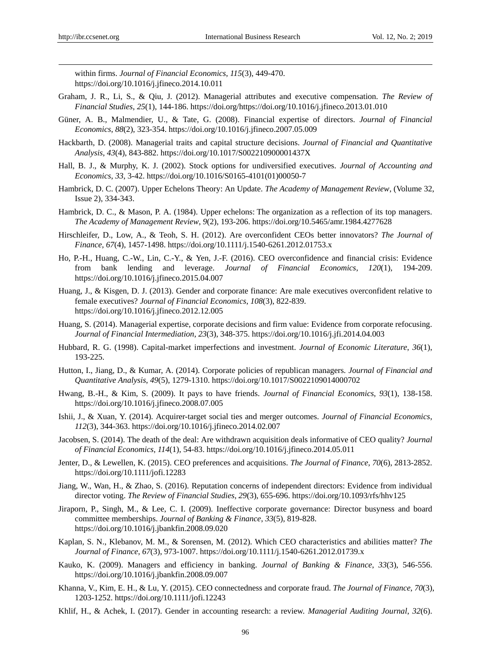within firms. *Journal of Financial Economics*, *115*(3), 449-470. https://doi.org/10.1016/j.jfineco.2014.10.011

- Graham, J. R., Li, S., & Qiu, J. (2012). Managerial attributes and executive compensation. *The Review of Financial Studies*, *25*(1), 144-186. https://doi.org/https://doi.org/10.1016/j.jfineco.2013.01.010
- Güner, A. B., Malmendier, U., & Tate, G. (2008). Financial expertise of directors. *Journal of Financial Economics*, *88*(2), 323-354. https://doi.org/10.1016/j.jfineco.2007.05.009
- Hackbarth, D. (2008). Managerial traits and capital structure decisions. *Journal of Financial and Quantitative Analysis*, *43*(4), 843-882. https://doi.org/10.1017/S002210900001437X
- Hall, B. J., & Murphy, K. J. (2002). Stock options for undiversified executives. *Journal of Accounting and Economics*, *33*, 3-42. https://doi.org/10.1016/S0165-4101(01)00050-7
- Hambrick, D. C. (2007). Upper Echelons Theory: An Update. *The Academy of Management Review*, (Volume 32, Issue 2), 334-343.
- Hambrick, D. C., & Mason, P. A. (1984). Upper echelons: The organization as a reflection of its top managers. *The Academy of Management Review*, *9*(2), 193-206. https://doi.org/10.5465/amr.1984.4277628
- Hirschleifer, D., Low, A., & Teoh, S. H. (2012). Are overconfident CEOs better innovators? *The Journal of Finance*, *67*(4), 1457-1498. https://doi.org/10.1111/j.1540-6261.2012.01753.x
- Ho, P.-H., Huang, C.-W., Lin, C.-Y., & Yen, J.-F. (2016). CEO overconfidence and financial crisis: Evidence from bank lending and leverage. *Journal of Financial Economics*, *120*(1), 194-209. https://doi.org/10.1016/j.jfineco.2015.04.007
- Huang, J., & Kisgen, D. J. (2013). Gender and corporate finance: Are male executives overconfident relative to female executives? *Journal of Financial Economics*, *108*(3), 822-839. https://doi.org/10.1016/j.jfineco.2012.12.005
- Huang, S. (2014). Managerial expertise, corporate decisions and firm value: Evidence from corporate refocusing. *Journal of Financial Intermediation*, *23*(3), 348-375. https://doi.org/10.1016/j.jfi.2014.04.003
- Hubbard, R. G. (1998). Capital-market imperfections and investment. *Journal of Economic Literature*, *36*(1), 193-225.
- Hutton, I., Jiang, D., & Kumar, A. (2014). Corporate policies of republican managers. *Journal of Financial and Quantitative Analysis*, *49*(5), 1279-1310. https://doi.org/10.1017/S0022109014000702
- Hwang, B.-H., & Kim, S. (2009). It pays to have friends. *Journal of Financial Economics*, *93*(1), 138-158. https://doi.org/10.1016/j.jfineco.2008.07.005
- Ishii, J., & Xuan, Y. (2014). Acquirer-target social ties and merger outcomes. *Journal of Financial Economics*, *112*(3), 344-363. https://doi.org/10.1016/j.jfineco.2014.02.007
- Jacobsen, S. (2014). The death of the deal: Are withdrawn acquisition deals informative of CEO quality? *Journal of Financial Economics*, *114*(1), 54-83. https://doi.org/10.1016/j.jfineco.2014.05.011
- Jenter, D., & Lewellen, K. (2015). CEO preferences and acquisitions. *The Journal of Finance*, *70*(6), 2813-2852. https://doi.org/10.1111/jofi.12283
- Jiang, W., Wan, H., & Zhao, S. (2016). Reputation concerns of independent directors: Evidence from individual director voting. *The Review of Financial Studies*, *29*(3), 655-696. https://doi.org/10.1093/rfs/hhv125
- Jiraporn, P., Singh, M., & Lee, C. I. (2009). Ineffective corporate governance: Director busyness and board committee memberships. *Journal of Banking & Finance*, *33*(5), 819-828. https://doi.org/10.1016/j.jbankfin.2008.09.020
- Kaplan, S. N., Klebanov, M. M., & Sorensen, M. (2012). Which CEO characteristics and abilities matter? *The Journal of Finance*, *67*(3), 973-1007. https://doi.org/10.1111/j.1540-6261.2012.01739.x
- Kauko, K. (2009). Managers and efficiency in banking. *Journal of Banking & Finance*, *33*(3), 546-556. https://doi.org/10.1016/j.jbankfin.2008.09.007
- Khanna, V., Kim, E. H., & Lu, Y. (2015). CEO connectedness and corporate fraud. *The Journal of Finance*, *70*(3), 1203-1252. https://doi.org/10.1111/jofi.12243
- Khlif, H., & Achek, I. (2017). Gender in accounting research: a review. *Managerial Auditing Journal*, *32*(6).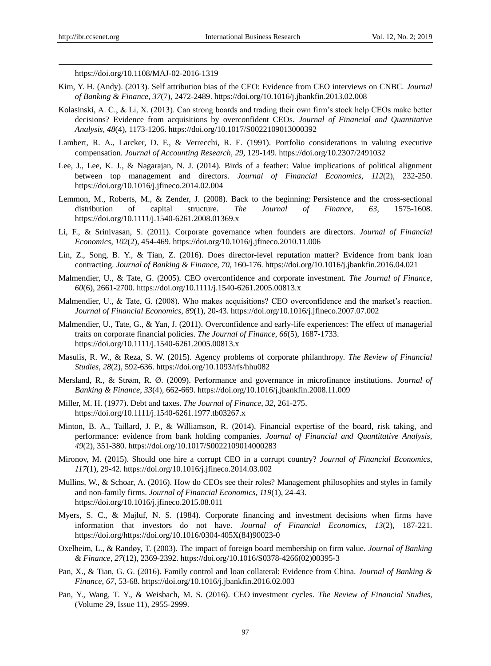https://doi.org/10.1108/MAJ-02-2016-1319

- Kim, Y. H. (Andy). (2013). Self attribution bias of the CEO: Evidence from CEO interviews on CNBC. *Journal of Banking & Finance*, *37*(7), 2472-2489. https://doi.org/10.1016/j.jbankfin.2013.02.008
- Kolasinski, A. C., & Li, X. (2013). Can strong boards and trading their own firm's stock help CEOs make better decisions? Evidence from acquisitions by overconfident CEOs. *Journal of Financial and Quantitative Analysis*, *48*(4), 1173-1206. https://doi.org/10.1017/S0022109013000392
- Lambert, R. A., Larcker, D. F., & Verrecchi, R. E. (1991). Portfolio considerations in valuing executive compensation. *Journal of Accounting Research*, *29*, 129-149. https://doi.org/10.2307/2491032
- Lee, J., Lee, K. J., & Nagarajan, N. J. (2014). Birds of a feather: Value implications of political alignment between top management and directors. *Journal of Financial Economics*, *112*(2), 232-250. https://doi.org/10.1016/j.jfineco.2014.02.004
- Lemmon, M., Roberts, M., & Zender, J. (2008). Back to the beginning: Persistence and the cross-sectional distribution of capital structure. *The Journal of Finance*, *63*, 1575-1608. https://doi.org/10.1111/j.1540-6261.2008.01369.x
- Li, F., & Srinivasan, S. (2011). Corporate governance when founders are directors. *Journal of Financial Economics*, *102*(2), 454-469. https://doi.org/10.1016/j.jfineco.2010.11.006
- Lin, Z., Song, B. Y., & Tian, Z. (2016). Does director-level reputation matter? Evidence from bank loan contracting. *Journal of Banking & Finance*, *70*, 160-176. https://doi.org/10.1016/j.jbankfin.2016.04.021
- Malmendier, U., & Tate, G. (2005). CEO overconfidence and corporate investment. *The Journal of Finance*, *60*(6), 2661-2700. https://doi.org/10.1111/j.1540-6261.2005.00813.x
- Malmendier, U., & Tate, G. (2008). Who makes acquisitions? CEO overconfidence and the market's reaction. *Journal of Financial Economics*, *89*(1), 20-43. https://doi.org/10.1016/j.jfineco.2007.07.002
- Malmendier, U., Tate, G., & Yan, J. (2011). Overconfidence and early-life experiences: The effect of managerial traits on corporate financial policies. *The Journal of Finance*, *66*(5), 1687-1733. https://doi.org/10.1111/j.1540-6261.2005.00813.x
- Masulis, R. W., & Reza, S. W. (2015). Agency problems of corporate philanthropy. *The Review of Financial Studies*, *28*(2), 592-636. https://doi.org/10.1093/rfs/hhu082
- Mersland, R., & Strøm, R. Ø. (2009). Performance and governance in microfinance institutions. *Journal of Banking & Finance*, *33*(4), 662-669. https://doi.org/10.1016/j.jbankfin.2008.11.009
- Miller, M. H. (1977). Debt and taxes. *The Journal of Finance*, *32*, 261-275. https://doi.org/10.1111/j.1540-6261.1977.tb03267.x
- Minton, B. A., Taillard, J. P., & Williamson, R. (2014). Financial expertise of the board, risk taking, and performance: evidence from bank holding companies. *Journal of Financial and Quantitative Analysis*, *49*(2), 351-380. https://doi.org/10.1017/S0022109014000283
- Mironov, M. (2015). Should one hire a corrupt CEO in a corrupt country? *Journal of Financial Economics*, *117*(1), 29-42. https://doi.org/10.1016/j.jfineco.2014.03.002
- Mullins, W., & Schoar, A. (2016). How do CEOs see their roles? Management philosophies and styles in family and non-family firms. *Journal of Financial Economics*, *119*(1), 24-43. https://doi.org/10.1016/j.jfineco.2015.08.011
- Myers, S. C., & Majluf, N. S. (1984). Corporate financing and investment decisions when firms have information that investors do not have. *Journal of Financial Economics*, *13*(2), 187-221. https://doi.org/https://doi.org/10.1016/0304-405X(84)90023-0
- Oxelheim, L., & Randøy, T. (2003). The impact of foreign board membership on firm value. *Journal of Banking & Finance*, *27*(12), 2369-2392. https://doi.org/10.1016/S0378-4266(02)00395-3
- Pan, X., & Tian, G. G. (2016). Family control and loan collateral: Evidence from China. *Journal of Banking & Finance*, *67*, 53-68. https://doi.org/10.1016/j.jbankfin.2016.02.003
- Pan, Y., Wang, T. Y., & Weisbach, M. S. (2016). CEO investment cycles. *The Review of Financial Studies*, (Volume 29, Issue 11), 2955-2999.